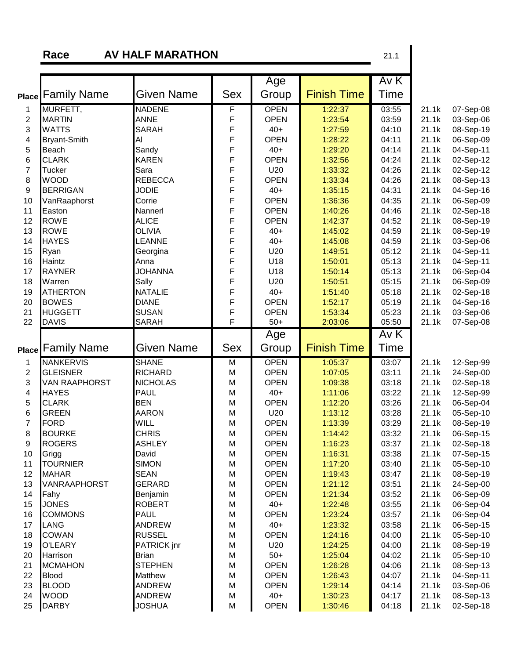**Race AV HALF MARATHON** 21.1

|                |                             |                                |                | Age                  |                    | AVK            |                |                        |
|----------------|-----------------------------|--------------------------------|----------------|----------------------|--------------------|----------------|----------------|------------------------|
| <b>Place</b>   | <b>Family Name</b>          | Given Name                     | <b>Sex</b>     | Group                | <b>Finish Time</b> | Time           |                |                        |
| 1              | MURFETT,                    | <b>NADENE</b>                  | F              | <b>OPEN</b>          | 1:22:37            | 03:55          | 21.1k          | 07-Sep-08              |
| $\overline{c}$ | <b>MARTIN</b>               | <b>ANNE</b>                    | F              | <b>OPEN</b>          | 1:23:54            | 03:59          | 21.1k          | 03-Sep-06              |
| 3              | <b>WATTS</b>                | <b>SARAH</b>                   | F              | $40+$                | 1:27:59            | 04:10          | 21.1k          | 08-Sep-19              |
| 4              | <b>Bryant-Smith</b>         | Al                             | F              | <b>OPEN</b>          | 1:28:22            | 04:11          | 21.1k          | 06-Sep-09              |
| 5              | Beach                       | Sandy                          | F              | $40+$                | 1:29:20            | 04:14          | 21.1k          | 04-Sep-11              |
| 6              | <b>CLARK</b>                | <b>KAREN</b>                   | F              | <b>OPEN</b>          | 1:32:56            | 04:24          | 21.1k          | 02-Sep-12              |
| $\overline{7}$ | <b>Tucker</b>               | Sara                           | F              | U20                  | 1:33:32            | 04:26          | 21.1k          | 02-Sep-12              |
| 8              | <b>WOOD</b>                 | <b>REBECCA</b>                 | F              | <b>OPEN</b>          | 1:33:34            | 04:26          | 21.1k          | 08-Sep-13              |
| 9              | <b>BERRIGAN</b>             | <b>JODIE</b>                   | F              | $40+$                | 1:35:15            | 04:31          | 21.1k          | 04-Sep-16              |
| 10             | VanRaaphorst                | Corrie                         | F              | <b>OPEN</b>          | 1:36:36            | 04:35          | 21.1k          | 06-Sep-09              |
| 11             | Easton                      | Nannerl                        | F              | <b>OPEN</b>          | 1:40:26            | 04:46          | 21.1k          | 02-Sep-18              |
| 12             | <b>ROWE</b>                 | <b>ALICE</b>                   | F              | <b>OPEN</b>          | 1:42:37            | 04:52          | 21.1k          | 08-Sep-19              |
| 13             | <b>ROWE</b>                 | <b>OLIVIA</b>                  | F              | $40+$                | 1:45:02            | 04:59          | 21.1k          | 08-Sep-19              |
| 14             | <b>HAYES</b>                | LEANNE                         | F              | $40+$                | 1:45:08            | 04:59          | 21.1k          | 03-Sep-06              |
| 15             | Ryan                        | Georgina                       | F              | U20                  | 1:49:51            | 05:12          | 21.1k          | 04-Sep-11              |
| 16             | Haintz                      | Anna                           | F              | U18                  | 1:50:01            | 05:13          | 21.1k          | 04-Sep-11              |
| 17             | <b>RAYNER</b>               | <b>JOHANNA</b>                 | F              | U18                  | 1:50:14            | 05:13          | 21.1k          | 06-Sep-04              |
| 18             | Warren                      | Sally                          | F              | U20                  | 1:50:51            | 05:15          | 21.1k          | 06-Sep-09              |
| 19             | <b>ATHERTON</b>             | <b>NATALIE</b>                 | F              | $40+$                | 1:51:40            | 05:18          | 21.1k          | 02-Sep-18              |
| 20             | <b>BOWES</b>                | <b>DIANE</b>                   | F              | <b>OPEN</b>          | 1:52:17            | 05:19          | 21.1k          | 04-Sep-16              |
| 21             | <b>HUGGETT</b>              | <b>SUSAN</b>                   | F              | <b>OPEN</b>          | 1:53:34            | 05:23          | 21.1k          | 03-Sep-06              |
| 22             | <b>DAVIS</b>                | <b>SARAH</b>                   | $\overline{F}$ | $50+$                | 2:03:06            | 05:50          | 21.1k          | 07-Sep-08              |
|                |                             |                                |                | Age                  |                    | Av K           |                |                        |
|                | <b>Place Family Name</b>    | Given Name                     | <b>Sex</b>     | Group                | <b>Finish Time</b> | <b>Time</b>    |                |                        |
|                |                             |                                |                |                      |                    |                |                |                        |
| 1              | <b>NANKERVIS</b>            | <b>SHANE</b>                   | M              | <b>OPEN</b>          | 1:05:37            | 03:07          | 21.1k          | 12-Sep-99              |
| $\overline{c}$ | <b>GLEISNER</b>             | <b>RICHARD</b>                 | M              | <b>OPEN</b>          | 1:07:05            | 03:11          | 21.1k          | 24-Sep-00              |
| 3              | <b>VAN RAAPHORST</b>        | <b>NICHOLAS</b>                | M              | <b>OPEN</b>          | 1:09:38            | 03:18          | 21.1k          | 02-Sep-18              |
| 4              | <b>HAYES</b>                | <b>PAUL</b>                    | M              |                      |                    |                |                | 12-Sep-99              |
| 5              |                             |                                |                | $40+$                | 1:11:06            | 03:22          | 21.1k          |                        |
|                | <b>CLARK</b>                | <b>BEN</b>                     | M              | <b>OPEN</b>          | 1:12:20            | 03:26          | 21.1k          | 06-Sep-04              |
| 6              | <b>GREEN</b>                | <b>AARON</b>                   | M              | U20                  | 1:13:12            | 03:28          | 21.1k          | 05-Sep-10              |
| $\overline{7}$ | <b>FORD</b>                 | <b>WILL</b>                    | M              | <b>OPEN</b>          | 1:13:39            | 03:29          | 21.1k          | 08-Sep-19              |
| 8              | <b>BOURKE</b>               | <b>CHRIS</b>                   | M              | <b>OPEN</b>          | 1:14:42            | 03:32          | 21.1k          | 06-Sep-15              |
| 9              | <b>ROGERS</b>               | <b>ASHLEY</b>                  | M              | <b>OPEN</b>          | 1:16:23            | 03:37          | 21.1k          | 02-Sep-18              |
| 10             | Grigg                       | David                          | M              | <b>OPEN</b>          | 1:16:31            | 03:38          | 21.1k          | 07-Sep-15              |
| 11             | <b>TOURNIER</b>             | <b>SIMON</b>                   | M              | <b>OPEN</b>          | 1:17:20            | 03:40          | 21.1k          | 05-Sep-10              |
| 12             | <b>MAHAR</b>                | <b>SEAN</b>                    | M              | <b>OPEN</b>          | 1:19:43            | 03:47          | 21.1k          | 08-Sep-19              |
| 13             | <b>VANRAAPHORST</b>         | <b>GERARD</b>                  | M              | <b>OPEN</b>          | 1:21:12            | 03:51          | 21.1k          | 24-Sep-00              |
| 14             | Fahy                        | Benjamin                       | M              | <b>OPEN</b>          | 1:21:34            | 03:52          | 21.1k          | 06-Sep-09              |
| 15             | <b>JONES</b>                | <b>ROBERT</b>                  | M              | $40+$                | 1:22:48            | 03:55          | 21.1k          | 06-Sep-04              |
| 16             | <b>COMMONS</b>              | <b>PAUL</b>                    | M              | <b>OPEN</b>          | 1:23:24            | 03:57          | 21.1k          | 06-Sep-04              |
| 17             | <b>LANG</b>                 | <b>ANDREW</b>                  | M              | $40+$                | 1:23:32            | 03:58          | 21.1k          | 06-Sep-15              |
| 18             | <b>COWAN</b>                | <b>RUSSEL</b>                  | M              | <b>OPEN</b>          | 1:24:16            | 04:00          | 21.1k          | 05-Sep-10              |
| 19             | <b>O'LEARY</b>              | PATRICK jnr                    | M              | U20                  | 1:24:25            | 04:00          | 21.1k          | 08-Sep-19              |
| 20             | Harrison                    | <b>Brian</b>                   | M              | $50+$                | 1:25:04            | 04:02          | 21.1k          | 05-Sep-10              |
| 21             | <b>MCMAHON</b>              | <b>STEPHEN</b>                 | M              | <b>OPEN</b>          | 1:26:28            | 04:06          | 21.1k          |                        |
| 22             |                             | <b>Matthew</b>                 |                |                      |                    |                |                | 08-Sep-13              |
|                | <b>Blood</b>                |                                | M              | <b>OPEN</b>          | 1:26:43            | 04:07          | 21.1k          | 04-Sep-11              |
| 23<br>24       | <b>BLOOD</b><br><b>WOOD</b> | <b>ANDREW</b><br><b>ANDREW</b> | M<br>M         | <b>OPEN</b><br>$40+$ | 1:29:14<br>1:30:23 | 04:14<br>04:17 | 21.1k<br>21.1k | 03-Sep-06<br>08-Sep-13 |